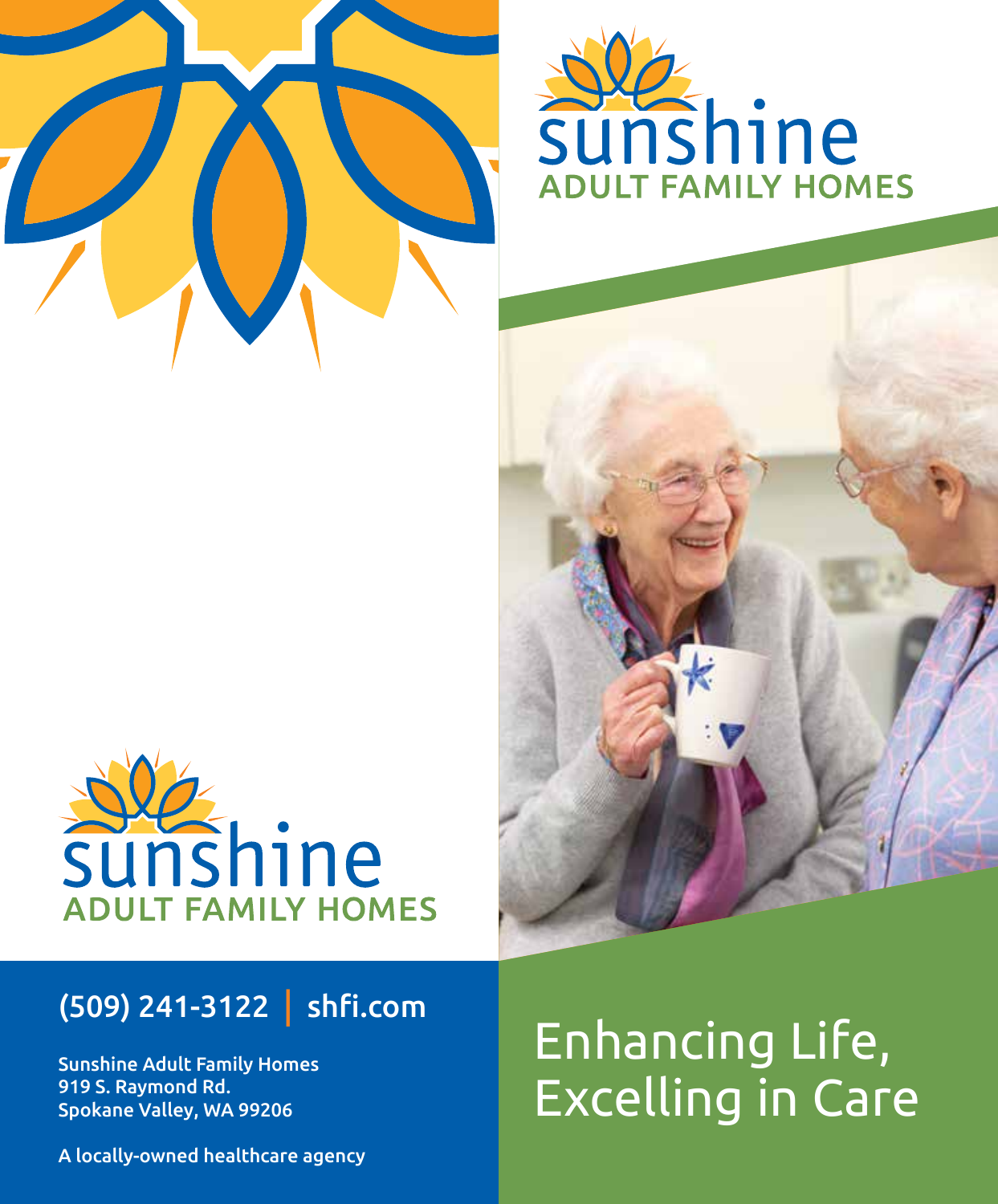





## (509) 241-3122 | shfi.com

Sunshine Adult Family Homes 919 S. Raymond Rd. Spokane Valley, WA 99206

## Enhancing Life, Excelling in Care

A locally-owned healthcare agency